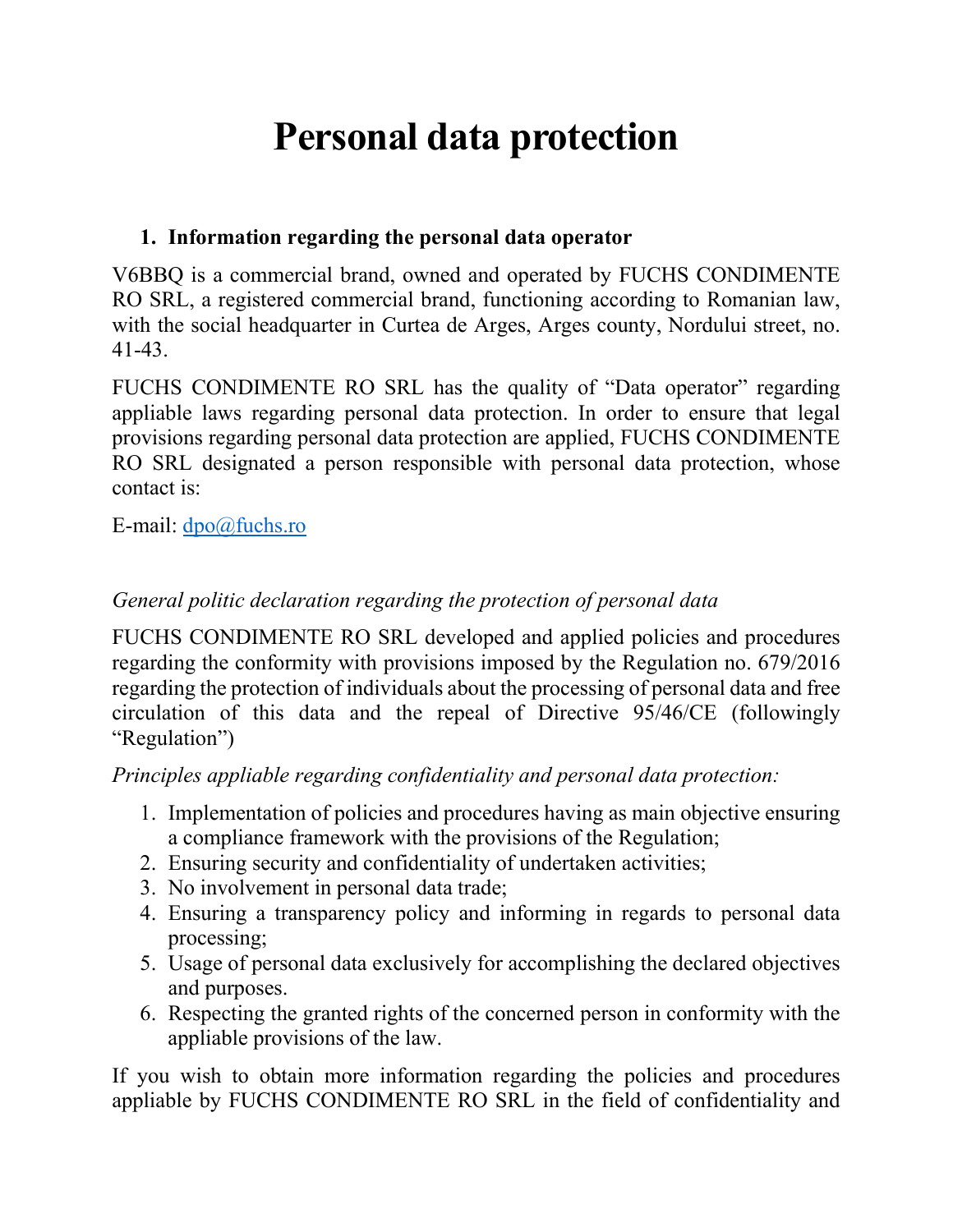# **Personal data protection**

## **1. Information regarding the personal data operator**

V6BBQ is a commercial brand, owned and operated by FUCHS CONDIMENTE RO SRL, a registered commercial brand, functioning according to Romanian law, with the social headquarter in Curtea de Arges, Arges county, Nordului street, no. 41-43.

FUCHS CONDIMENTE RO SRL has the quality of "Data operator" regarding appliable laws regarding personal data protection. In order to ensure that legal provisions regarding personal data protection are applied, FUCHS CONDIMENTE RO SRL designated a person responsible with personal data protection, whose contact is:

E-mail: [dpo@fuchs.ro](mailto:dpo@fuchs.ro)

## *General politic declaration regarding the protection of personal data*

FUCHS CONDIMENTE RO SRL developed and applied policies and procedures regarding the conformity with provisions imposed by the Regulation no. 679/2016 regarding the protection of individuals about the processing of personal data and free circulation of this data and the repeal of Directive 95/46/CE (followingly "Regulation")

*Principles appliable regarding confidentiality and personal data protection:*

- 1. Implementation of policies and procedures having as main objective ensuring a compliance framework with the provisions of the Regulation;
- 2. Ensuring security and confidentiality of undertaken activities;
- 3. No involvement in personal data trade;
- 4. Ensuring a transparency policy and informing in regards to personal data processing;
- 5. Usage of personal data exclusively for accomplishing the declared objectives and purposes.
- 6. Respecting the granted rights of the concerned person in conformity with the appliable provisions of the law.

If you wish to obtain more information regarding the policies and procedures appliable by FUCHS CONDIMENTE RO SRL in the field of confidentiality and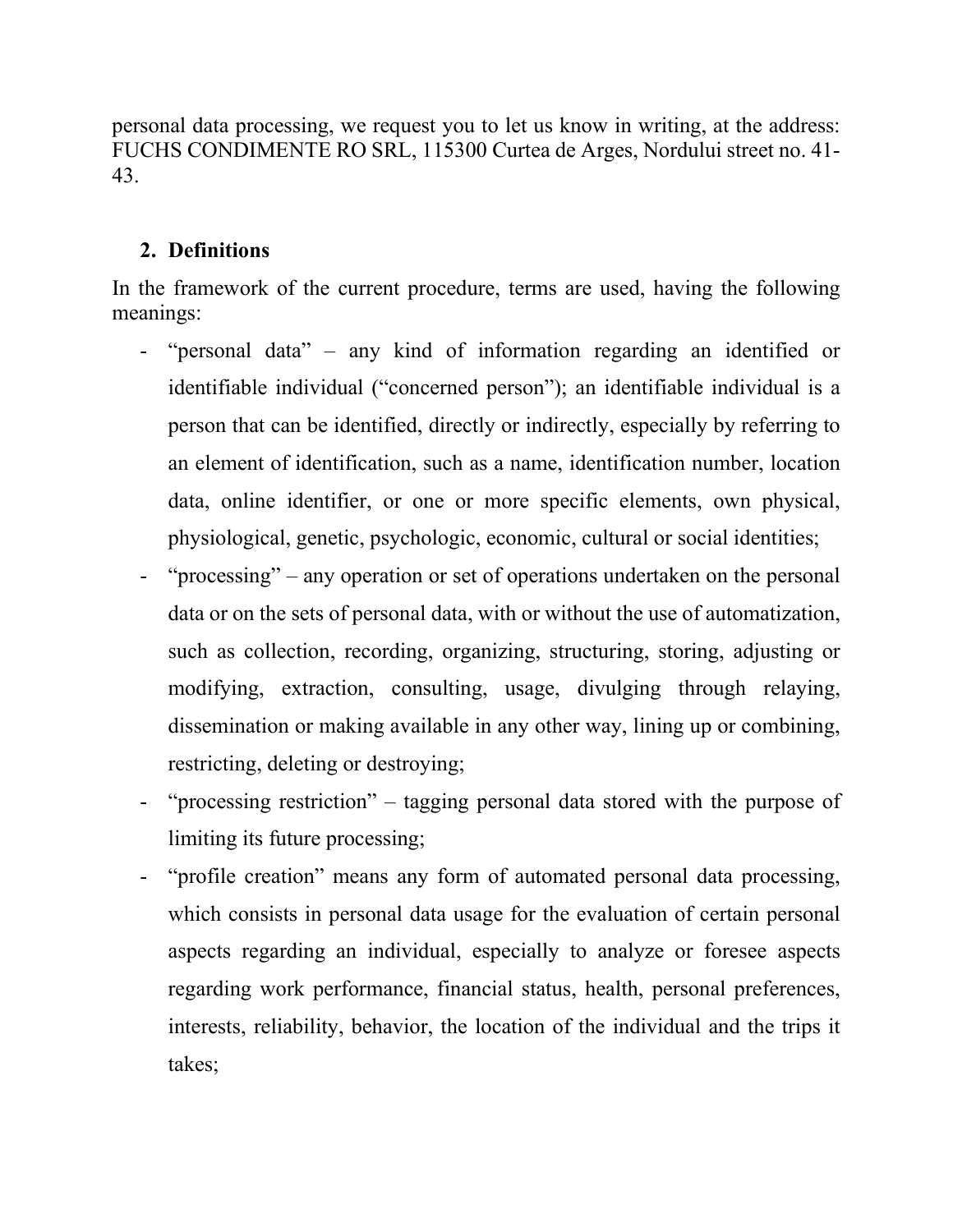personal data processing, we request you to let us know in writing, at the address: FUCHS CONDIMENTE RO SRL, 115300 Curtea de Arges, Nordului street no. 41- 43.

## **2. Definitions**

In the framework of the current procedure, terms are used, having the following meanings:

- "personal data" any kind of information regarding an identified or identifiable individual ("concerned person"); an identifiable individual is a person that can be identified, directly or indirectly, especially by referring to an element of identification, such as a name, identification number, location data, online identifier, or one or more specific elements, own physical, physiological, genetic, psychologic, economic, cultural or social identities;
- "processing" any operation or set of operations undertaken on the personal data or on the sets of personal data, with or without the use of automatization, such as collection, recording, organizing, structuring, storing, adjusting or modifying, extraction, consulting, usage, divulging through relaying, dissemination or making available in any other way, lining up or combining, restricting, deleting or destroying;
- "processing restriction" tagging personal data stored with the purpose of limiting its future processing;
- "profile creation" means any form of automated personal data processing, which consists in personal data usage for the evaluation of certain personal aspects regarding an individual, especially to analyze or foresee aspects regarding work performance, financial status, health, personal preferences, interests, reliability, behavior, the location of the individual and the trips it takes;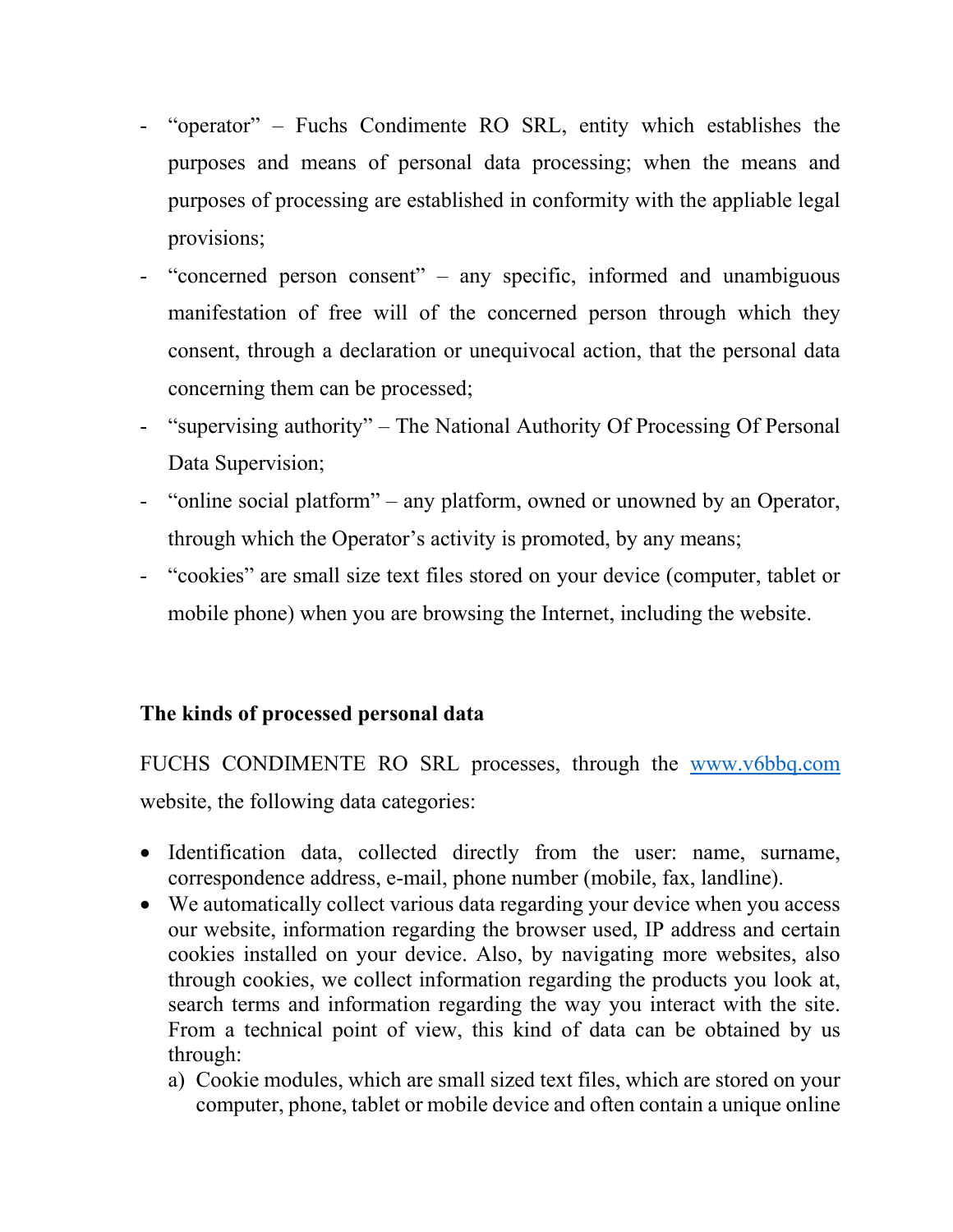- "operator" Fuchs Condimente RO SRL, entity which establishes the purposes and means of personal data processing; when the means and purposes of processing are established in conformity with the appliable legal provisions;
- "concerned person consent" any specific, informed and unambiguous manifestation of free will of the concerned person through which they consent, through a declaration or unequivocal action, that the personal data concerning them can be processed;
- "supervising authority" The National Authority Of Processing Of Personal Data Supervision;
- "online social platform" any platform, owned or unowned by an Operator, through which the Operator's activity is promoted, by any means;
- "cookies" are small size text files stored on your device (computer, tablet or mobile phone) when you are browsing the Internet, including the website.

## **The kinds of processed personal data**

FUCHS CONDIMENTE RO SRL processes, through the [www.v6bbq.com](http://www.v6bbq.com/) website, the following data categories:

- Identification data, collected directly from the user: name, surname, correspondence address, e-mail, phone number (mobile, fax, landline).
- We automatically collect various data regarding your device when you access our website, information regarding the browser used, IP address and certain cookies installed on your device. Also, by navigating more websites, also through cookies, we collect information regarding the products you look at, search terms and information regarding the way you interact with the site. From a technical point of view, this kind of data can be obtained by us through:
	- a) Cookie modules, which are small sized text files, which are stored on your computer, phone, tablet or mobile device and often contain a unique online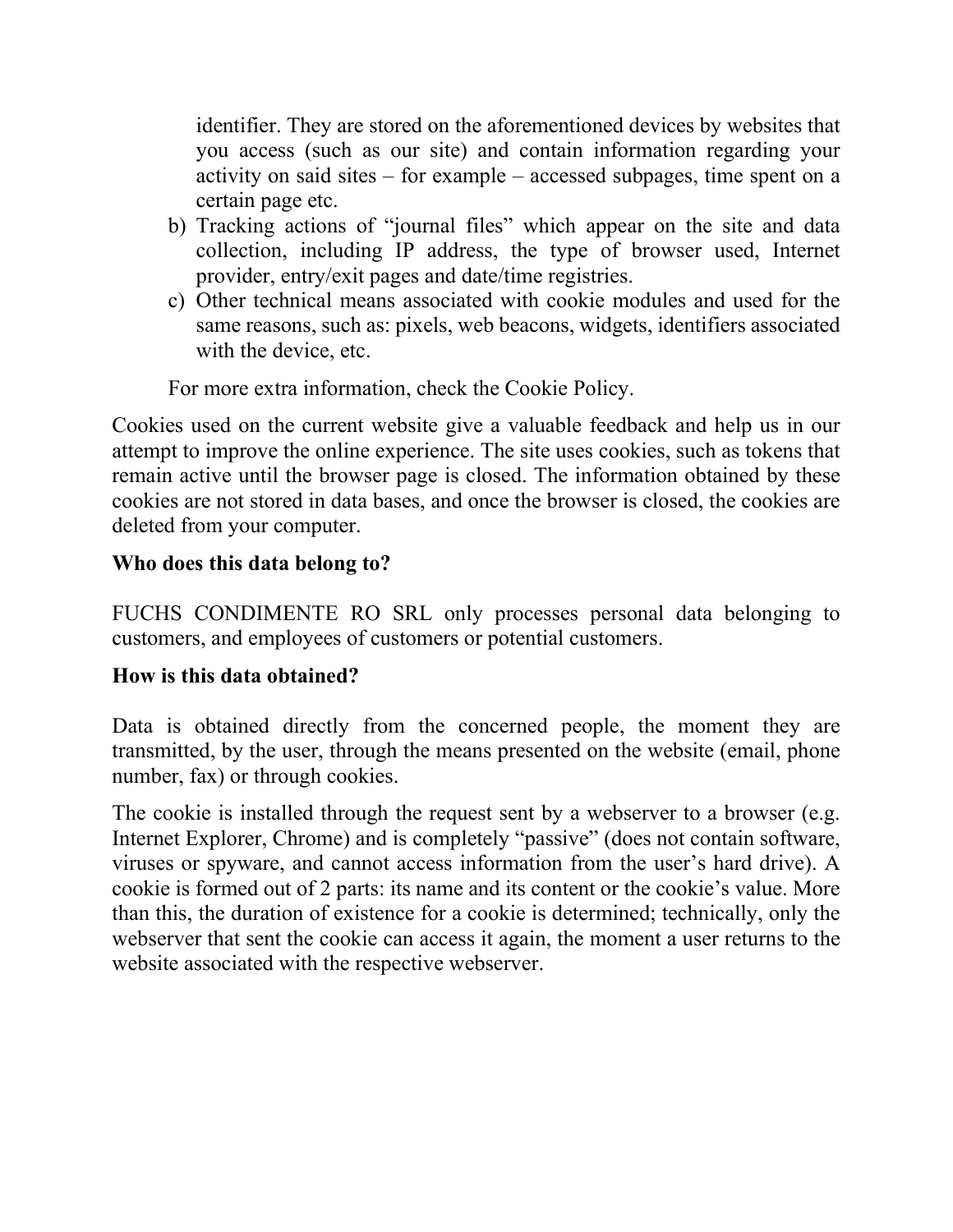identifier. They are stored on the aforementioned devices by websites that you access (such as our site) and contain information regarding your activity on said sites – for example – accessed subpages, time spent on a certain page etc.

- b) Tracking actions of "journal files" which appear on the site and data collection, including IP address, the type of browser used, Internet provider, entry/exit pages and date/time registries.
- c) Other technical means associated with cookie modules and used for the same reasons, such as: pixels, web beacons, widgets, identifiers associated with the device, etc.

For more extra information, check the Cookie Policy.

Cookies used on the current website give a valuable feedback and help us in our attempt to improve the online experience. The site uses cookies, such as tokens that remain active until the browser page is closed. The information obtained by these cookies are not stored in data bases, and once the browser is closed, the cookies are deleted from your computer.

## **Who does this data belong to?**

FUCHS CONDIMENTE RO SRL only processes personal data belonging to customers, and employees of customers or potential customers.

#### **How is this data obtained?**

Data is obtained directly from the concerned people, the moment they are transmitted, by the user, through the means presented on the website (email, phone number, fax) or through cookies.

The cookie is installed through the request sent by a webserver to a browser (e.g. Internet Explorer, Chrome) and is completely "passive" (does not contain software, viruses or spyware, and cannot access information from the user's hard drive). A cookie is formed out of 2 parts: its name and its content or the cookie's value. More than this, the duration of existence for a cookie is determined; technically, only the webserver that sent the cookie can access it again, the moment a user returns to the website associated with the respective webserver.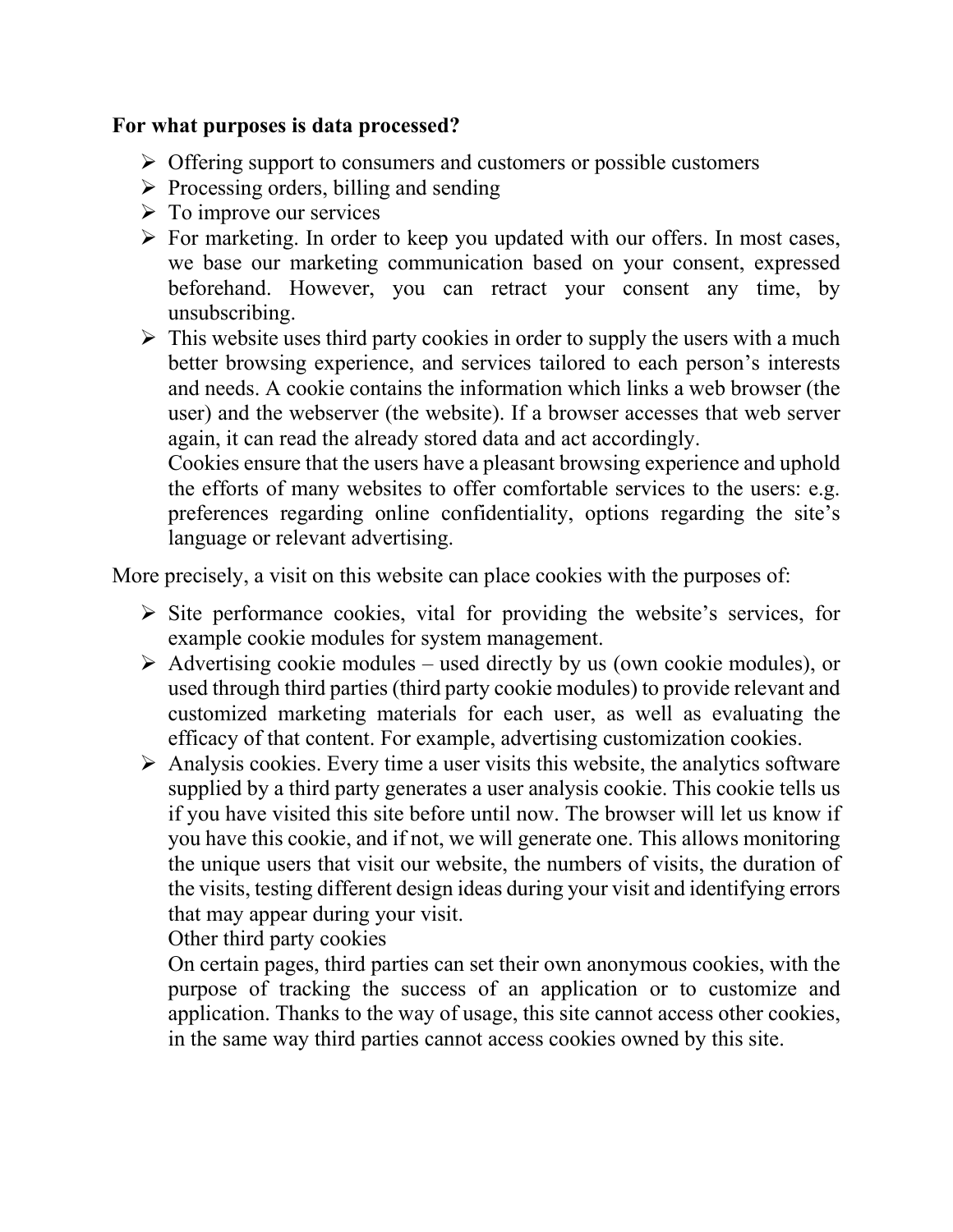#### **For what purposes is data processed?**

- $\triangleright$  Offering support to consumers and customers or possible customers
- $\triangleright$  Processing orders, billing and sending
- $\triangleright$  To improve our services
- $\triangleright$  For marketing. In order to keep you updated with our offers. In most cases, we base our marketing communication based on your consent, expressed beforehand. However, you can retract your consent any time, by unsubscribing.
- $\triangleright$  This website uses third party cookies in order to supply the users with a much better browsing experience, and services tailored to each person's interests and needs. A cookie contains the information which links a web browser (the user) and the webserver (the website). If a browser accesses that web server again, it can read the already stored data and act accordingly.

Cookies ensure that the users have a pleasant browsing experience and uphold the efforts of many websites to offer comfortable services to the users: e.g. preferences regarding online confidentiality, options regarding the site's language or relevant advertising.

More precisely, a visit on this website can place cookies with the purposes of:

- $\triangleright$  Site performance cookies, vital for providing the website's services, for example cookie modules for system management.
- $\triangleright$  Advertising cookie modules used directly by us (own cookie modules), or used through third parties (third party cookie modules) to provide relevant and customized marketing materials for each user, as well as evaluating the efficacy of that content. For example, advertising customization cookies.
- $\triangleright$  Analysis cookies. Every time a user visits this website, the analytics software supplied by a third party generates a user analysis cookie. This cookie tells us if you have visited this site before until now. The browser will let us know if you have this cookie, and if not, we will generate one. This allows monitoring the unique users that visit our website, the numbers of visits, the duration of the visits, testing different design ideas during your visit and identifying errors that may appear during your visit.

Other third party cookies

On certain pages, third parties can set their own anonymous cookies, with the purpose of tracking the success of an application or to customize and application. Thanks to the way of usage, this site cannot access other cookies, in the same way third parties cannot access cookies owned by this site.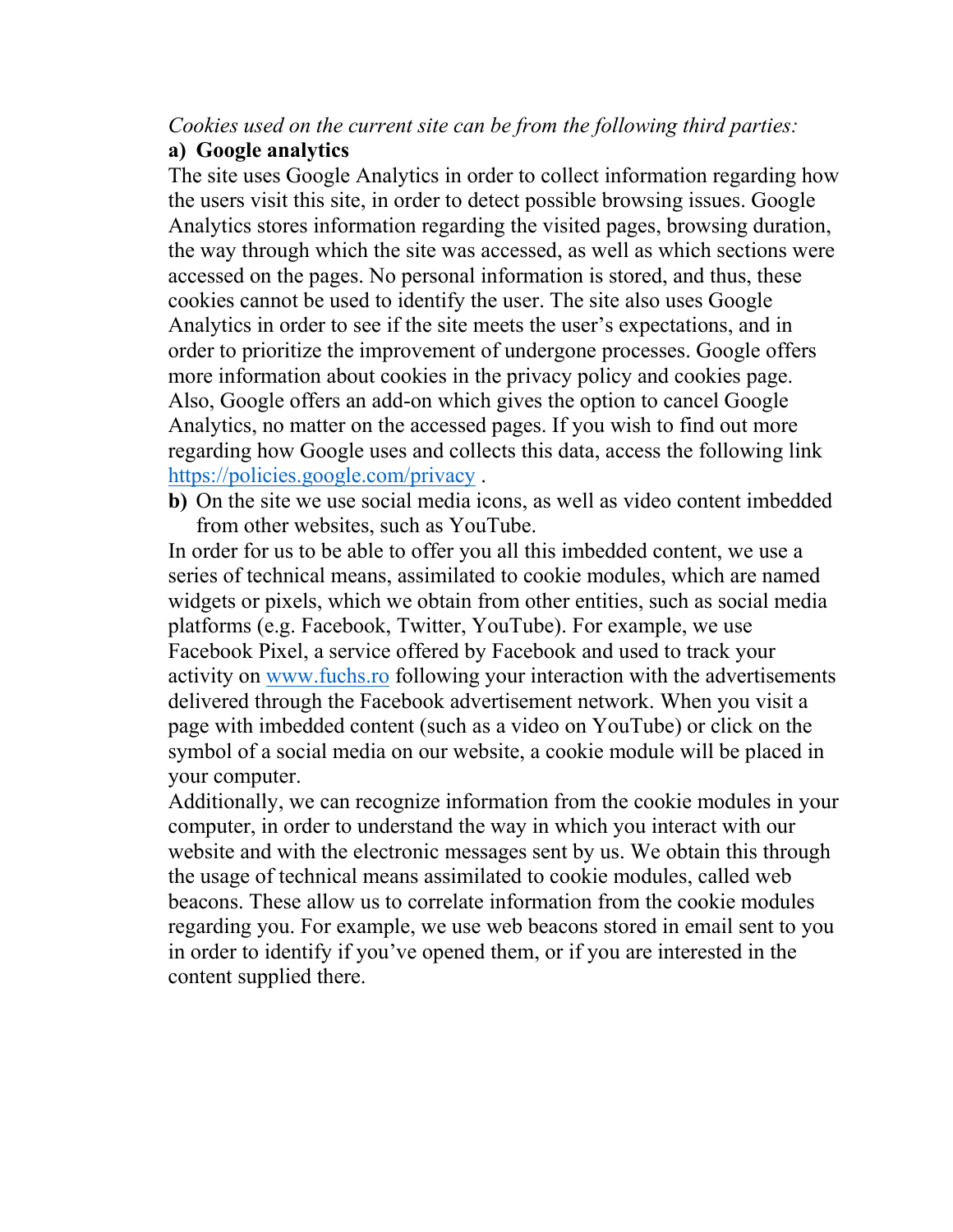#### *Cookies used on the current site can be from the following third parties:* **a) Google analytics**

The site uses Google Analytics in order to collect information regarding how the users visit this site, in order to detect possible browsing issues. Google Analytics stores information regarding the visited pages, browsing duration, the way through which the site was accessed, as well as which sections were accessed on the pages. No personal information is stored, and thus, these cookies cannot be used to identify the user. The site also uses Google Analytics in order to see if the site meets the user's expectations, and in order to prioritize the improvement of undergone processes. Google offers more information about cookies in the privacy policy and cookies page. Also, Google offers an add-on which gives the option to cancel Google Analytics, no matter on the accessed pages. If you wish to find out more regarding how Google uses and collects this data, access the following link <https://policies.google.com/privacy> .

**b)** On the site we use social media icons, as well as video content imbedded from other websites, such as YouTube.

In order for us to be able to offer you all this imbedded content, we use a series of technical means, assimilated to cookie modules, which are named widgets or pixels, which we obtain from other entities, such as social media platforms (e.g. Facebook, Twitter, YouTube). For example, we use Facebook Pixel, a service offered by Facebook and used to track your activity on [www.fuchs.ro](http://www.fuchs.ro/) following your interaction with the advertisements delivered through the Facebook advertisement network. When you visit a page with imbedded content (such as a video on YouTube) or click on the symbol of a social media on our website, a cookie module will be placed in your computer.

Additionally, we can recognize information from the cookie modules in your computer, in order to understand the way in which you interact with our website and with the electronic messages sent by us. We obtain this through the usage of technical means assimilated to cookie modules, called web beacons. These allow us to correlate information from the cookie modules regarding you. For example, we use web beacons stored in email sent to you in order to identify if you've opened them, or if you are interested in the content supplied there.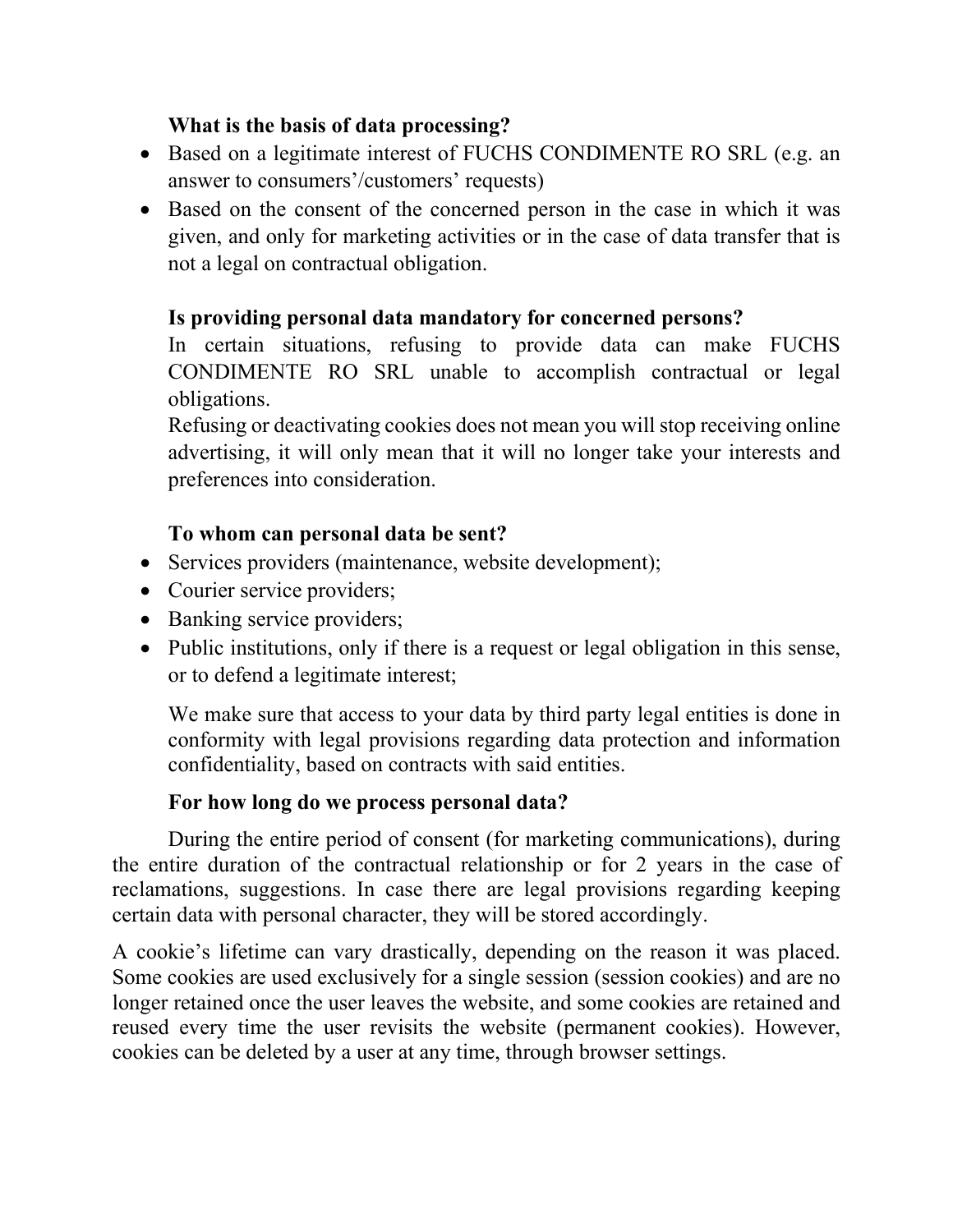## **What is the basis of data processing?**

- Based on a legitimate interest of FUCHS CONDIMENTE RO SRL (e.g. an answer to consumers'/customers' requests)
- Based on the consent of the concerned person in the case in which it was given, and only for marketing activities or in the case of data transfer that is not a legal on contractual obligation.

## **Is providing personal data mandatory for concerned persons?**

In certain situations, refusing to provide data can make FUCHS CONDIMENTE RO SRL unable to accomplish contractual or legal obligations.

Refusing or deactivating cookies does not mean you will stop receiving online advertising, it will only mean that it will no longer take your interests and preferences into consideration.

## **To whom can personal data be sent?**

- Services providers (maintenance, website development);
- Courier service providers;
- Banking service providers;
- Public institutions, only if there is a request or legal obligation in this sense, or to defend a legitimate interest;

We make sure that access to your data by third party legal entities is done in conformity with legal provisions regarding data protection and information confidentiality, based on contracts with said entities.

## **For how long do we process personal data?**

During the entire period of consent (for marketing communications), during the entire duration of the contractual relationship or for 2 years in the case of reclamations, suggestions. In case there are legal provisions regarding keeping certain data with personal character, they will be stored accordingly.

A cookie's lifetime can vary drastically, depending on the reason it was placed. Some cookies are used exclusively for a single session (session cookies) and are no longer retained once the user leaves the website, and some cookies are retained and reused every time the user revisits the website (permanent cookies). However, cookies can be deleted by a user at any time, through browser settings.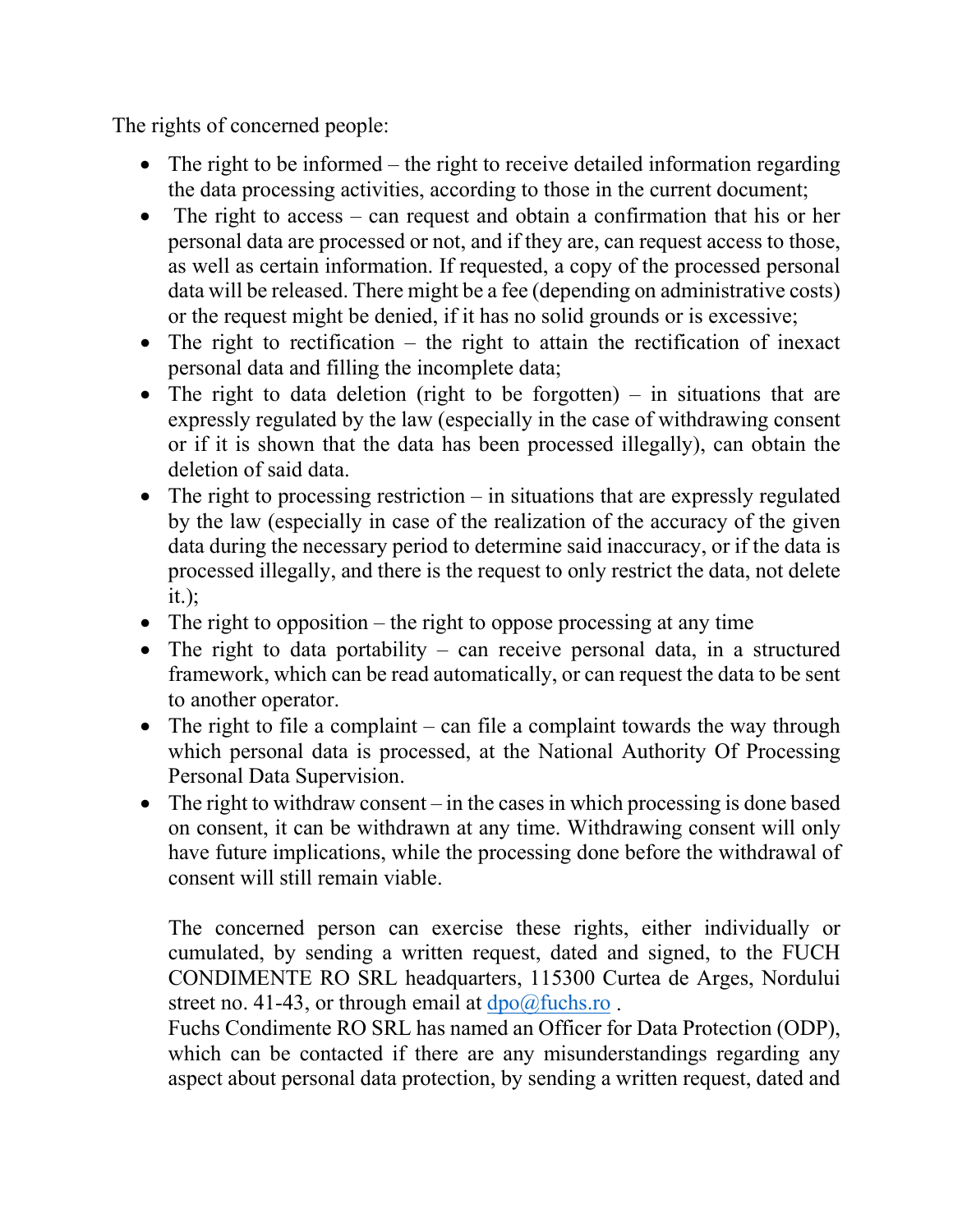The rights of concerned people:

- The right to be informed the right to receive detailed information regarding the data processing activities, according to those in the current document;
- The right to access can request and obtain a confirmation that his or her personal data are processed or not, and if they are, can request access to those, as well as certain information. If requested, a copy of the processed personal data will be released. There might be a fee (depending on administrative costs) or the request might be denied, if it has no solid grounds or is excessive;
- The right to rectification the right to attain the rectification of inexact personal data and filling the incomplete data;
- The right to data deletion (right to be forgotten) in situations that are expressly regulated by the law (especially in the case of withdrawing consent or if it is shown that the data has been processed illegally), can obtain the deletion of said data.
- The right to processing restriction  $-\text{ in situations that are expressly regulated}$ by the law (especially in case of the realization of the accuracy of the given data during the necessary period to determine said inaccuracy, or if the data is processed illegally, and there is the request to only restrict the data, not delete it.);
- The right to opposition the right to oppose processing at any time
- The right to data portability can receive personal data, in a structured framework, which can be read automatically, or can request the data to be sent to another operator.
- The right to file a complaint can file a complaint towards the way through which personal data is processed, at the National Authority Of Processing Personal Data Supervision.
- The right to withdraw consent in the cases in which processing is done based on consent, it can be withdrawn at any time. Withdrawing consent will only have future implications, while the processing done before the withdrawal of consent will still remain viable.

The concerned person can exercise these rights, either individually or cumulated, by sending a written request, dated and signed, to the FUCH CONDIMENTE RO SRL headquarters, 115300 Curtea de Arges, Nordului street no. 41-43, or through email at  $dpo@fuchs.no$ .

Fuchs Condimente RO SRL has named an Officer for Data Protection (ODP), which can be contacted if there are any misunderstandings regarding any aspect about personal data protection, by sending a written request, dated and